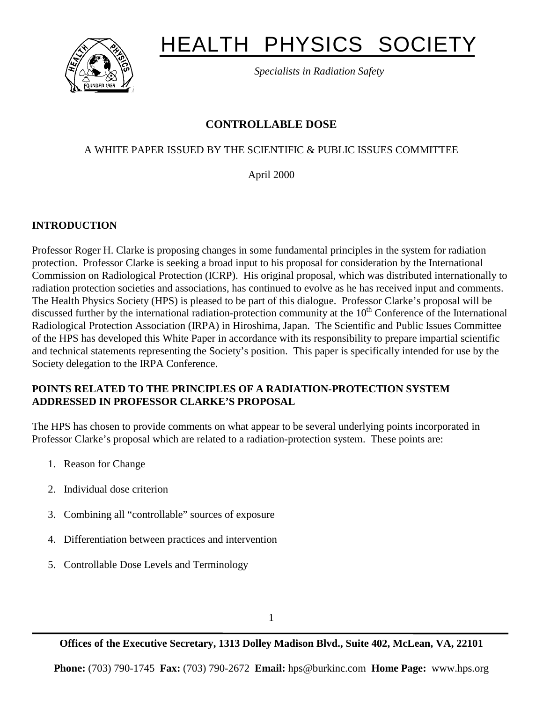

# HEALTH PHYSICS SOCIETY

*Specialists in Radiation Safety*

# **CONTROLLABLE DOSE**

# A WHITE PAPER ISSUED BY THE SCIENTIFIC & PUBLIC ISSUES COMMITTEE

April 2000

# **INTRODUCTION**

Professor Roger H. Clarke is proposing changes in some fundamental principles in the system for radiation protection. Professor Clarke is seeking a broad input to his proposal for consideration by the International Commission on Radiological Protection (ICRP). His original proposal, which was distributed internationally to radiation protection societies and associations, has continued to evolve as he has received input and comments. The Health Physics Society (HPS) is pleased to be part of this dialogue. Professor Clarke's proposal will be discussed further by the international radiation-protection community at the  $10<sup>th</sup>$  Conference of the International Radiological Protection Association (IRPA) in Hiroshima, Japan. The Scientific and Public Issues Committee of the HPS has developed this White Paper in accordance with its responsibility to prepare impartial scientific and technical statements representing the Society's position. This paper is specifically intended for use by the Society delegation to the IRPA Conference.

### **POINTS RELATED TO THE PRINCIPLES OF A RADIATION-PROTECTION SYSTEM ADDRESSED IN PROFESSOR CLARKE'S PROPOSAL**

The HPS has chosen to provide comments on what appear to be several underlying points incorporated in Professor Clarke's proposal which are related to a radiation-protection system. These points are:

- 1. Reason for Change
- 2. Individual dose criterion
- 3. Combining all "controllable" sources of exposure
- 4. Differentiation between practices and intervention
- 5. Controllable Dose Levels and Terminology

**Offices of the Executive Secretary, 1313 Dolley Madison Blvd., Suite 402, McLean, VA, 22101**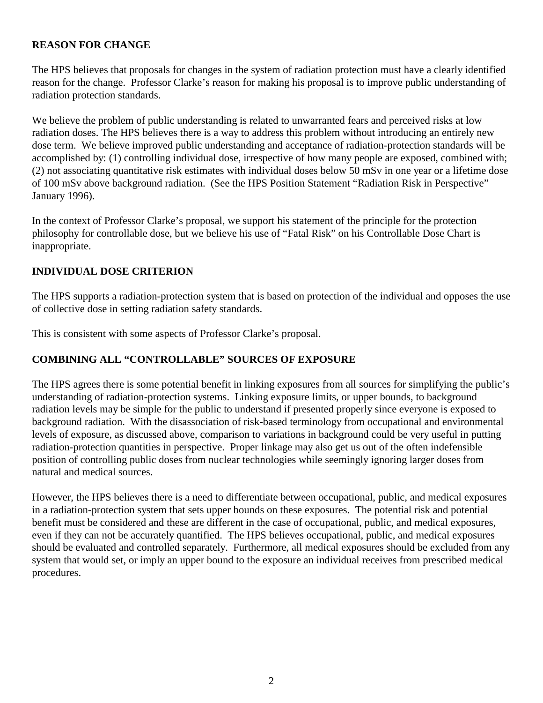#### **REASON FOR CHANGE**

The HPS believes that proposals for changes in the system of radiation protection must have a clearly identified reason for the change. Professor Clarke's reason for making his proposal is to improve public understanding of radiation protection standards.

We believe the problem of public understanding is related to unwarranted fears and perceived risks at low radiation doses. The HPS believes there is a way to address this problem without introducing an entirely new dose term. We believe improved public understanding and acceptance of radiation-protection standards will be accomplished by: (1) controlling individual dose, irrespective of how many people are exposed, combined with; (2) not associating quantitative risk estimates with individual doses below 50 mSv in one year or a lifetime dose of 100 mSv above background radiation. (See the HPS Position Statement "Radiation Risk in Perspective" January 1996).

In the context of Professor Clarke's proposal, we support his statement of the principle for the protection philosophy for controllable dose, but we believe his use of "Fatal Risk" on his Controllable Dose Chart is inappropriate.

#### **INDIVIDUAL DOSE CRITERION**

The HPS supports a radiation-protection system that is based on protection of the individual and opposes the use of collective dose in setting radiation safety standards.

This is consistent with some aspects of Professor Clarke's proposal.

#### **COMBINING ALL "CONTROLLABLE" SOURCES OF EXPOSURE**

The HPS agrees there is some potential benefit in linking exposures from all sources for simplifying the public's understanding of radiation-protection systems. Linking exposure limits, or upper bounds, to background radiation levels may be simple for the public to understand if presented properly since everyone is exposed to background radiation. With the disassociation of risk-based terminology from occupational and environmental levels of exposure, as discussed above, comparison to variations in background could be very useful in putting radiation-protection quantities in perspective. Proper linkage may also get us out of the often indefensible position of controlling public doses from nuclear technologies while seemingly ignoring larger doses from natural and medical sources.

However, the HPS believes there is a need to differentiate between occupational, public, and medical exposures in a radiation-protection system that sets upper bounds on these exposures. The potential risk and potential benefit must be considered and these are different in the case of occupational, public, and medical exposures, even if they can not be accurately quantified. The HPS believes occupational, public, and medical exposures should be evaluated and controlled separately. Furthermore, all medical exposures should be excluded from any system that would set, or imply an upper bound to the exposure an individual receives from prescribed medical procedures.